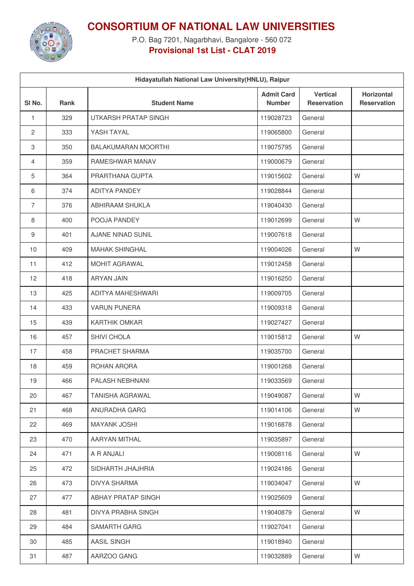

## **CONSORTIUM OF NATIONAL LAW UNIVERSITIES**

P.O. Bag 7201, Nagarbhavi, Bangalore - 560 072 **Provisional 1st List - CLAT 2019**

| Hidayatullah National Law University(HNLU), Raipur |             |                             |                                    |                                       |                                         |
|----------------------------------------------------|-------------|-----------------------------|------------------------------------|---------------------------------------|-----------------------------------------|
| SI <sub>No.</sub>                                  | <b>Rank</b> | <b>Student Name</b>         | <b>Admit Card</b><br><b>Number</b> | <b>Vertical</b><br><b>Reservation</b> | <b>Horizontal</b><br><b>Reservation</b> |
| 1                                                  | 329         | <b>UTKARSH PRATAP SINGH</b> | 119028723                          | General                               |                                         |
| $\overline{c}$                                     | 333         | YASH TAYAL                  | 119065800                          | General                               |                                         |
| 3                                                  | 350         | <b>BALAKUMARAN MOORTHI</b>  | 119075795                          | General                               |                                         |
| 4                                                  | 359         | <b>RAMESHWAR MANAV</b>      | 119000679                          | General                               |                                         |
| 5                                                  | 364         | PRARTHANA GUPTA             | 119015602                          | General                               | W                                       |
| 6                                                  | 374         | <b>ADITYA PANDEY</b>        | 119028844                          | General                               |                                         |
| $\overline{7}$                                     | 376         | ABHIRAAM SHUKLA             | 119040430                          | General                               |                                         |
| 8                                                  | 400         | POOJA PANDEY                | 119012699                          | General                               | W                                       |
| 9                                                  | 401         | <b>AJANE NINAD SUNIL</b>    | 119007618                          | General                               |                                         |
| 10                                                 | 409         | <b>MAHAK SHINGHAL</b>       | 119004026                          | General                               | W                                       |
| 11                                                 | 412         | <b>MOHIT AGRAWAL</b>        | 119012458                          | General                               |                                         |
| 12                                                 | 418         | <b>ARYAN JAIN</b>           | 119016250                          | General                               |                                         |
| 13                                                 | 425         | ADITYA MAHESHWARI           | 119009705                          | General                               |                                         |
| 14                                                 | 433         | <b>VARUN PUNERA</b>         | 119009318                          | General                               |                                         |
| 15                                                 | 439         | <b>KARTHIK OMKAR</b>        | 119027427                          | General                               |                                         |
| 16                                                 | 457         | SHIVI CHOLA                 | 119015812                          | General                               | W                                       |
| 17                                                 | 458         | PRACHET SHARMA              | 119035700                          | General                               |                                         |
| 18                                                 | 459         | ROHAN ARORA                 | 119001268                          | General                               |                                         |
| 19                                                 | 466         | PALASH NEBHNANI             | 119033569                          | General                               |                                         |
| 20                                                 | 467         | <b>TANISHA AGRAWAL</b>      | 119049087                          | General                               | W                                       |
| 21                                                 | 468         | ANURADHA GARG               | 119014106                          | General                               | W                                       |
| 22                                                 | 469         | <b>MAYANK JOSHI</b>         | 119016878                          | General                               |                                         |
| 23                                                 | 470         | AARYAN MITHAL               | 119035897                          | General                               |                                         |
| 24                                                 | 471         | A R ANJALI                  | 119008116                          | General                               | W                                       |
| 25                                                 | 472         | SIDHARTH JHAJHRIA           | 119024186                          | General                               |                                         |
| 26                                                 | 473         | <b>DIVYA SHARMA</b>         | 119034047                          | General                               | W                                       |
| 27                                                 | 477         | ABHAY PRATAP SINGH          | 119025609                          | General                               |                                         |
| 28                                                 | 481         | DIVYA PRABHA SINGH          | 119040879                          | General                               | W                                       |
| 29                                                 | 484         | <b>SAMARTH GARG</b>         | 119027041                          | General                               |                                         |
| 30                                                 | 485         | AASIL SINGH                 | 119018940                          | General                               |                                         |
| 31                                                 | 487         | AARZOO GANG                 | 119032889                          | General                               | W                                       |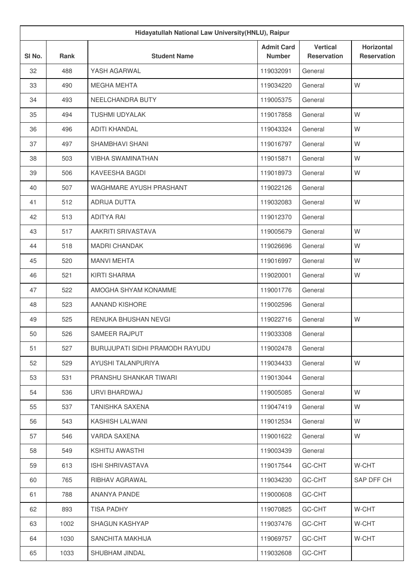| Hidayatullah National Law University (HNLU), Raipur |      |                                        |                                    |                                       |                                         |
|-----------------------------------------------------|------|----------------------------------------|------------------------------------|---------------------------------------|-----------------------------------------|
| SI No.                                              | Rank | <b>Student Name</b>                    | <b>Admit Card</b><br><b>Number</b> | <b>Vertical</b><br><b>Reservation</b> | <b>Horizontal</b><br><b>Reservation</b> |
| 32                                                  | 488  | YASH AGARWAL                           | 119032091                          | General                               |                                         |
| 33                                                  | 490  | <b>MEGHA MEHTA</b>                     | 119034220                          | General                               | W                                       |
| 34                                                  | 493  | NEELCHANDRA BUTY                       | 119005375                          | General                               |                                         |
| 35                                                  | 494  | <b>TUSHMI UDYALAK</b>                  | 119017858                          | General                               | W                                       |
| 36                                                  | 496  | <b>ADITI KHANDAL</b>                   | 119043324                          | General                               | W                                       |
| 37                                                  | 497  | SHAMBHAVI SHANI                        | 119016797                          | General                               | W                                       |
| 38                                                  | 503  | <b>VIBHA SWAMINATHAN</b>               | 119015871                          | General                               | W                                       |
| 39                                                  | 506  | <b>KAVEESHA BAGDI</b>                  | 119018973                          | General                               | W                                       |
| 40                                                  | 507  | <b>WAGHMARE AYUSH PRASHANT</b>         | 119022126                          | General                               |                                         |
| 41                                                  | 512  | <b>ADRIJA DUTTA</b>                    | 119032083                          | General                               | W                                       |
| 42                                                  | 513  | <b>ADITYA RAI</b>                      | 119012370                          | General                               |                                         |
| 43                                                  | 517  | AAKRITI SRIVASTAVA                     | 119005679                          | General                               | W                                       |
| 44                                                  | 518  | <b>MADRI CHANDAK</b>                   | 119026696                          | General                               | W                                       |
| 45                                                  | 520  | <b>MANVI MEHTA</b>                     | 119016997                          | General                               | W                                       |
| 46                                                  | 521  | KIRTI SHARMA                           | 119020001                          | General                               | W                                       |
| 47                                                  | 522  | AMOGHA SHYAM KONAMME                   | 119001776                          | General                               |                                         |
| 48                                                  | 523  | AANAND KISHORE                         | 119002596                          | General                               |                                         |
| 49                                                  | 525  | RENUKA BHUSHAN NEVGI                   | 119022716                          | General                               | W                                       |
| 50                                                  | 526  | <b>SAMEER RAJPUT</b>                   | 119033308                          | General                               |                                         |
| 51                                                  | 527  | <b>BURUJUPATI SIDHI PRAMODH RAYUDU</b> | 119002478                          | General                               |                                         |
| 52                                                  | 529  | AYUSHI TALANPURIYA                     | 119034433                          | General                               | W                                       |
| 53                                                  | 531  | PRANSHU SHANKAR TIWARI                 | 119013044                          | General                               |                                         |
| 54                                                  | 536  | URVI BHARDWAJ                          | 119005085                          | General                               | W                                       |
| 55                                                  | 537  | <b>TANISHKA SAXENA</b>                 | 119047419                          | General                               | W                                       |
| 56                                                  | 543  | KASHISH LALWANI                        | 119012534                          | General                               | W                                       |
| 57                                                  | 546  | VARDA SAXENA                           | 119001622                          | General                               | W                                       |
| 58                                                  | 549  | <b>KSHITIJ AWASTHI</b>                 | 119003439                          | General                               |                                         |
| 59                                                  | 613  | <b>ISHI SHRIVASTAVA</b>                | 119017544                          | GC-CHT                                | W-CHT                                   |
| 60                                                  | 765  | RIBHAV AGRAWAL                         | 119034230                          | GC-CHT                                | SAP DFF CH                              |
| 61                                                  | 788  | ANANYA PANDE                           | 119000608                          | GC-CHT                                |                                         |
| 62                                                  | 893  | <b>TISA PADHY</b>                      | 119070825                          | GC-CHT                                | W-CHT                                   |
| 63                                                  | 1002 | <b>SHAGUN KASHYAP</b>                  | 119037476                          | GC-CHT                                | W-CHT                                   |
| 64                                                  | 1030 | SANCHITA MAKHIJA                       | 119069757                          | GC-CHT                                | W-CHT                                   |
| 65                                                  | 1033 | SHUBHAM JINDAL                         | 119032608                          | GC-CHT                                |                                         |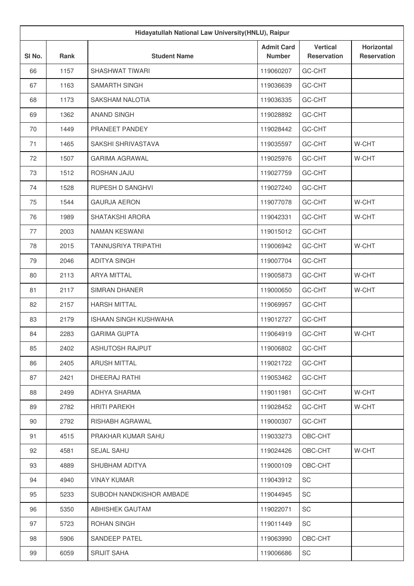| Hidayatullah National Law University (HNLU), Raipur |             |                              |                                    |                                       |                                         |
|-----------------------------------------------------|-------------|------------------------------|------------------------------------|---------------------------------------|-----------------------------------------|
| SI No.                                              | <b>Rank</b> | <b>Student Name</b>          | <b>Admit Card</b><br><b>Number</b> | <b>Vertical</b><br><b>Reservation</b> | <b>Horizontal</b><br><b>Reservation</b> |
| 66                                                  | 1157        | <b>SHASHWAT TIWARI</b>       | 119060207                          | GC-CHT                                |                                         |
| 67                                                  | 1163        | SAMARTH SINGH                | 119036639                          | GC-CHT                                |                                         |
| 68                                                  | 1173        | SAKSHAM NALOTIA              | 119036335                          | GC-CHT                                |                                         |
| 69                                                  | 1362        | <b>ANAND SINGH</b>           | 119028892                          | GC-CHT                                |                                         |
| 70                                                  | 1449        | PRANEET PANDEY               | 119028442                          | GC-CHT                                |                                         |
| 71                                                  | 1465        | SAKSHI SHRIVASTAVA           | 119035597                          | GC-CHT                                | W-CHT                                   |
| 72                                                  | 1507        | <b>GARIMA AGRAWAL</b>        | 119025976                          | GC-CHT                                | W-CHT                                   |
| 73                                                  | 1512        | ROSHAN JAJU                  | 119027759                          | GC-CHT                                |                                         |
| 74                                                  | 1528        | RUPESH D SANGHVI             | 119027240                          | GC-CHT                                |                                         |
| 75                                                  | 1544        | <b>GAURJA AERON</b>          | 119077078                          | GC-CHT                                | W-CHT                                   |
| 76                                                  | 1989        | SHATAKSHI ARORA              | 119042331                          | GC-CHT                                | W-CHT                                   |
| 77                                                  | 2003        | NAMAN KESWANI                | 119015012                          | GC-CHT                                |                                         |
| 78                                                  | 2015        | TANNUSRIYA TRIPATHI          | 119006942                          | GC-CHT                                | W-CHT                                   |
| 79                                                  | 2046        | <b>ADITYA SINGH</b>          | 119007704                          | GC-CHT                                |                                         |
| 80                                                  | 2113        | <b>ARYA MITTAL</b>           | 119005873                          | GC-CHT                                | W-CHT                                   |
| 81                                                  | 2117        | <b>SIMRAN DHANER</b>         | 119000650                          | GC-CHT                                | W-CHT                                   |
| 82                                                  | 2157        | <b>HARSH MITTAL</b>          | 119069957                          | GC-CHT                                |                                         |
| 83                                                  | 2179        | <b>ISHAAN SINGH KUSHWAHA</b> | 119012727                          | GC-CHT                                |                                         |
| 84                                                  | 2283        | <b>GARIMA GUPTA</b>          | 119064919                          | GC-CHT                                | W-CHT                                   |
| 85                                                  | 2402        | ASHUTOSH RAJPUT              | 119006802                          | GC-CHT                                |                                         |
| 86                                                  | 2405        | <b>ARUSH MITTAL</b>          | 119021722                          | GC-CHT                                |                                         |
| 87                                                  | 2421        | DHEERAJ RATHI                | 119053462                          | GC-CHT                                |                                         |
| 88                                                  | 2499        | ADHYA SHARMA                 | 119011981                          | GC-CHT                                | W-CHT                                   |
| 89                                                  | 2782        | <b>HRITI PAREKH</b>          | 119028452                          | GC-CHT                                | W-CHT                                   |
| 90                                                  | 2792        | RISHABH AGRAWAL              | 119000307                          | GC-CHT                                |                                         |
| 91                                                  | 4515        | PRAKHAR KUMAR SAHU           | 119033273                          | OBC-CHT                               |                                         |
| 92                                                  | 4581        | SEJAL SAHU                   | 119024426                          | OBC-CHT                               | W-CHT                                   |
| 93                                                  | 4889        | SHUBHAM ADITYA               | 119000109                          | OBC-CHT                               |                                         |
| 94                                                  | 4940        | <b>VINAY KUMAR</b>           | 119043912                          | SC                                    |                                         |
| 95                                                  | 5233        | SUBODH NANDKISHOR AMBADE     | 119044945                          | SC                                    |                                         |
| 96                                                  | 5350        | ABHISHEK GAUTAM              | 119022071                          | SC                                    |                                         |
| 97                                                  | 5723        | ROHAN SINGH                  | 119011449                          | SC                                    |                                         |
| 98                                                  | 5906        | SANDEEP PATEL                | 119063990                          | OBC-CHT                               |                                         |
| 99                                                  | 6059        | <b>SRIJIT SAHA</b>           | 119006686                          | SC                                    |                                         |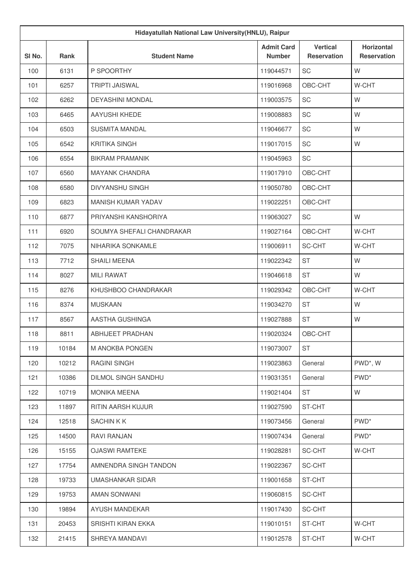| Hidayatullah National Law University (HNLU), Raipur |       |                           |                                    |                                       |                                  |
|-----------------------------------------------------|-------|---------------------------|------------------------------------|---------------------------------------|----------------------------------|
| SI No.                                              | Rank  | <b>Student Name</b>       | <b>Admit Card</b><br><b>Number</b> | <b>Vertical</b><br><b>Reservation</b> | Horizontal<br><b>Reservation</b> |
| 100                                                 | 6131  | P SPOORTHY                | 119044571                          | <b>SC</b>                             | W                                |
| 101                                                 | 6257  | <b>TRIPTI JAISWAL</b>     | 119016968                          | OBC-CHT                               | W-CHT                            |
| 102                                                 | 6262  | <b>DEYASHINI MONDAL</b>   | 119003575                          | <b>SC</b>                             | W                                |
| 103                                                 | 6465  | AAYUSHI KHEDE             | 119008883                          | SC                                    | W                                |
| 104                                                 | 6503  | <b>SUSMITA MANDAL</b>     | 119046677                          | <b>SC</b>                             | W                                |
| 105                                                 | 6542  | <b>KRITIKA SINGH</b>      | 119017015                          | <b>SC</b>                             | W                                |
| 106                                                 | 6554  | <b>BIKRAM PRAMANIK</b>    | 119045963                          | <b>SC</b>                             |                                  |
| 107                                                 | 6560  | <b>MAYANK CHANDRA</b>     | 119017910                          | OBC-CHT                               |                                  |
| 108                                                 | 6580  | DIVYANSHU SINGH           | 119050780                          | OBC-CHT                               |                                  |
| 109                                                 | 6823  | <b>MANISH KUMAR YADAV</b> | 119022251                          | OBC-CHT                               |                                  |
| 110                                                 | 6877  | PRIYANSHI KANSHORIYA      | 119063027                          | <b>SC</b>                             | W                                |
| 111                                                 | 6920  | SOUMYA SHEFALI CHANDRAKAR | 119027164                          | OBC-CHT                               | W-CHT                            |
| 112                                                 | 7075  | NIHARIKA SONKAMLE         | 119006911                          | SC-CHT                                | W-CHT                            |
| 113                                                 | 7712  | <b>SHAILI MEENA</b>       | 119022342                          | <b>ST</b>                             | W                                |
| 114                                                 | 8027  | <b>MILI RAWAT</b>         | 119046618                          | <b>ST</b>                             | W                                |
| 115                                                 | 8276  | KHUSHBOO CHANDRAKAR       | 119029342                          | OBC-CHT                               | W-CHT                            |
| 116                                                 | 8374  | <b>MUSKAAN</b>            | 119034270                          | <b>ST</b>                             | W                                |
| 117                                                 | 8567  | AASTHA GUSHINGA           | 119027888                          | <b>ST</b>                             | W                                |
| 118                                                 | 8811  | <b>ABHIJEET PRADHAN</b>   | 119020324                          | OBC-CHT                               |                                  |
| 119                                                 | 10184 | M ANOKBA PONGEN           | 119073007                          | <b>ST</b>                             |                                  |
| 120                                                 | 10212 | RAGINI SINGH              | 119023863                          | General                               | PWD*, W                          |
| 121                                                 | 10386 | DILMOL SINGH SANDHU       | 119031351                          | General                               | PWD <sup>*</sup>                 |
| 122                                                 | 10719 | <b>MONIKA MEENA</b>       | 119021404                          | <b>ST</b>                             | W                                |
| 123                                                 | 11897 | RITIN AARSH KUJUR         | 119027590                          | ST-CHT                                |                                  |
| 124                                                 | 12518 | <b>SACHINKK</b>           | 119073456                          | General                               | PWD <sup>*</sup>                 |
| 125                                                 | 14500 | RAVI RANJAN               | 119007434                          | General                               | PWD <sup>*</sup>                 |
| 126                                                 | 15155 | <b>OJASWI RAMTEKE</b>     | 119028281                          | SC-CHT                                | W-CHT                            |
| 127                                                 | 17754 | AMNENDRA SINGH TANDON     | 119022367                          | SC-CHT                                |                                  |
| 128                                                 | 19733 | UMASHANKAR SIDAR          | 119001658                          | ST-CHT                                |                                  |
| 129                                                 | 19753 | AMAN SONWANI              | 119060815                          | SC-CHT                                |                                  |
| 130                                                 | 19894 | AYUSH MANDEKAR            | 119017430                          | SC-CHT                                |                                  |
| 131                                                 | 20453 | SRISHTI KIRAN EKKA        | 119010151                          | ST-CHT                                | W-CHT                            |
| 132                                                 | 21415 | SHREYA MANDAVI            | 119012578                          | ST-CHT                                | W-CHT                            |